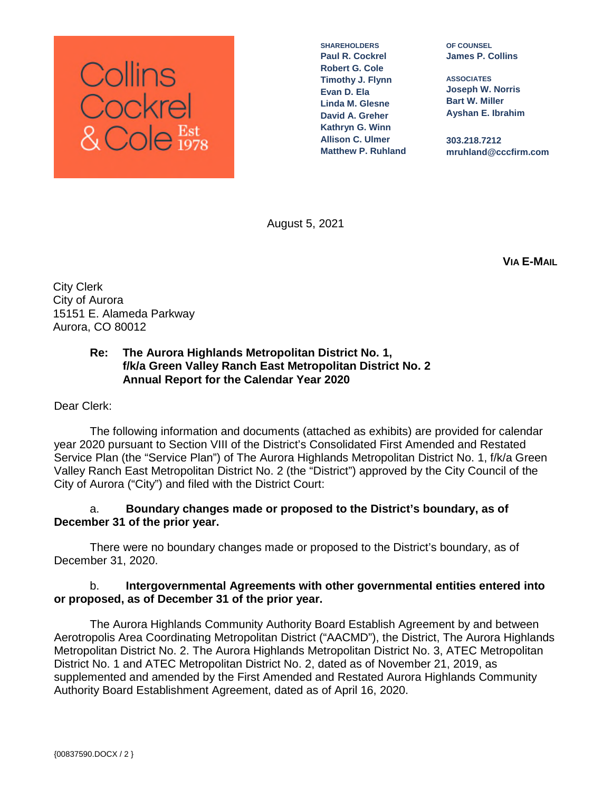

**SHAREHOLDERS Paul R. Cockrel Robert G. Cole Timothy J. Flynn Evan D. Ela Linda M. Glesne David A. Greher Kathryn G. Winn Allison C. Ulmer Matthew P. Ruhland**

**OF COUNSEL James P. Collins**

**ASSOCIATES Joseph W. Norris Bart W. Miller Ayshan E. Ibrahim**

**303.218.7212 mruhland@cccfirm.com**

August 5, 2021

**VIA E-MAIL**

City Clerk City of Aurora 15151 E. Alameda Parkway Aurora, CO 80012

# **Re: The Aurora Highlands Metropolitan District No. 1, f/k/a Green Valley Ranch East Metropolitan District No. 2 Annual Report for the Calendar Year 2020**

Dear Clerk:

The following information and documents (attached as exhibits) are provided for calendar year 2020 pursuant to Section VIII of the District's Consolidated First Amended and Restated Service Plan (the "Service Plan") of The Aurora Highlands Metropolitan District No. 1, f/k/a Green Valley Ranch East Metropolitan District No. 2 (the "District") approved by the City Council of the City of Aurora ("City") and filed with the District Court:

# a. **Boundary changes made or proposed to the District's boundary, as of December 31 of the prior year.**

There were no boundary changes made or proposed to the District's boundary, as of December 31, 2020.

# b. **Intergovernmental Agreements with other governmental entities entered into or proposed, as of December 31 of the prior year.**

The Aurora Highlands Community Authority Board Establish Agreement by and between Aerotropolis Area Coordinating Metropolitan District ("AACMD"), the District, The Aurora Highlands Metropolitan District No. 2. The Aurora Highlands Metropolitan District No. 3, ATEC Metropolitan District No. 1 and ATEC Metropolitan District No. 2, dated as of November 21, 2019, as supplemented and amended by the First Amended and Restated Aurora Highlands Community Authority Board Establishment Agreement, dated as of April 16, 2020.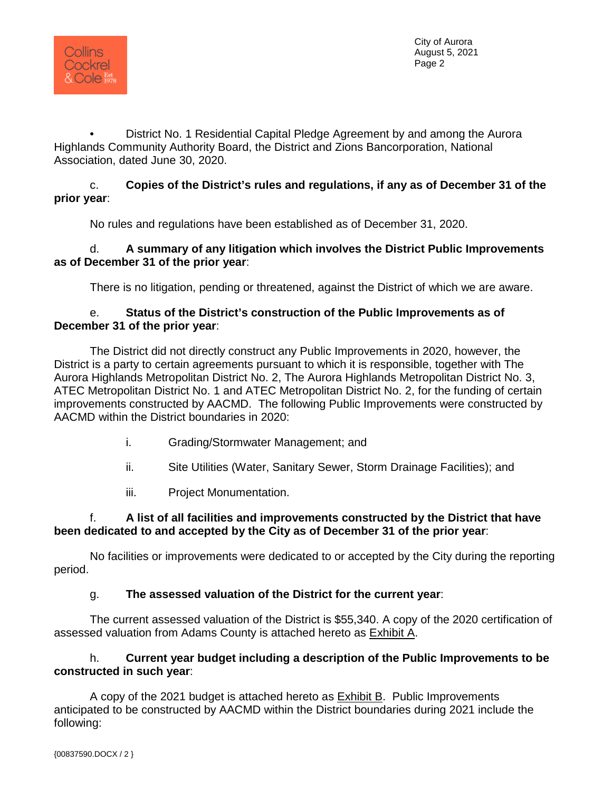

• District No. 1 Residential Capital Pledge Agreement by and among the Aurora Highlands Community Authority Board, the District and Zions Bancorporation, National Association, dated June 30, 2020.

### c. **Copies of the District's rules and regulations, if any as of December 31 of the prior year**:

No rules and regulations have been established as of December 31, 2020.

### d. **A summary of any litigation which involves the District Public Improvements as of December 31 of the prior year**:

There is no litigation, pending or threatened, against the District of which we are aware.

### e. **Status of the District's construction of the Public Improvements as of December 31 of the prior year**:

The District did not directly construct any Public Improvements in 2020, however, the District is a party to certain agreements pursuant to which it is responsible, together with The Aurora Highlands Metropolitan District No. 2, The Aurora Highlands Metropolitan District No. 3, ATEC Metropolitan District No. 1 and ATEC Metropolitan District No. 2, for the funding of certain improvements constructed by AACMD. The following Public Improvements were constructed by AACMD within the District boundaries in 2020:

- i. Grading/Stormwater Management; and
- ii. Site Utilities (Water, Sanitary Sewer, Storm Drainage Facilities); and
- iii. Project Monumentation.

# f. **A list of all facilities and improvements constructed by the District that have been dedicated to and accepted by the City as of December 31 of the prior year**:

No facilities or improvements were dedicated to or accepted by the City during the reporting period.

# g. **The assessed valuation of the District for the current year**:

The current assessed valuation of the District is \$55,340. A copy of the 2020 certification of assessed valuation from Adams County is attached hereto as Exhibit A.

# h. **Current year budget including a description of the Public Improvements to be constructed in such year**:

A copy of the 2021 budget is attached hereto as **Exhibit B. Public Improvements** anticipated to be constructed by AACMD within the District boundaries during 2021 include the following: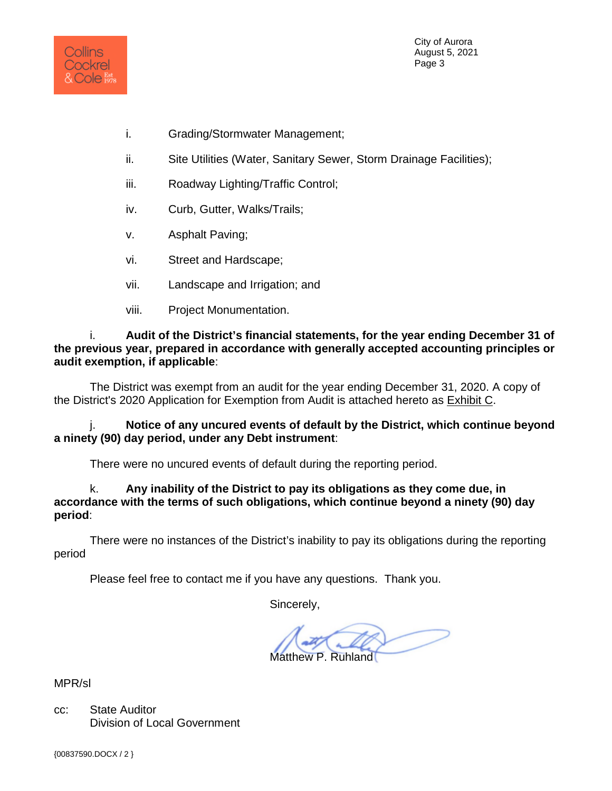

City of Aurora August 5, 2021 Page 3

- i. Grading/Stormwater Management;
- ii. Site Utilities (Water, Sanitary Sewer, Storm Drainage Facilities);
- iii. Roadway Lighting/Traffic Control;
- iv. Curb, Gutter, Walks/Trails;
- v. Asphalt Paving;
- vi. Street and Hardscape;
- vii. Landscape and Irrigation; and
- viii. Project Monumentation.

i. **Audit of the District's financial statements, for the year ending December 31 of the previous year, prepared in accordance with generally accepted accounting principles or audit exemption, if applicable**:

The District was exempt from an audit for the year ending December 31, 2020. A copy of the District's 2020 Application for Exemption from Audit is attached hereto as Exhibit C.

j. **Notice of any uncured events of default by the District, which continue beyond a ninety (90) day period, under any Debt instrument**:

There were no uncured events of default during the reporting period.

k. **Any inability of the District to pay its obligations as they come due, in accordance with the terms of such obligations, which continue beyond a ninety (90) day period**:

There were no instances of the District's inability to pay its obligations during the reporting period

Please feel free to contact me if you have any questions. Thank you.

Sincerely,

Matthew P. Ruhland

MPR/sl

cc: State Auditor Division of Local Government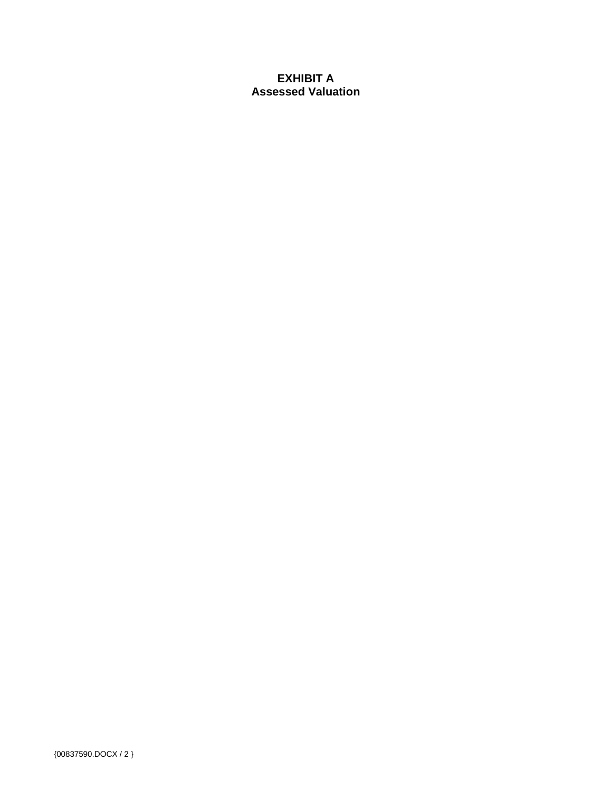# **EXHIBIT A Assessed Valuation**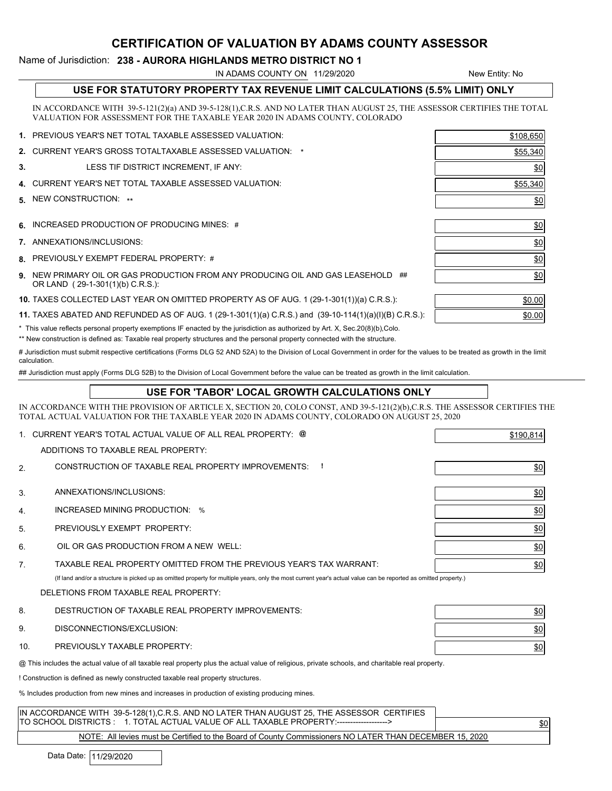#### CERTIFICATION OF VALUATION BY ADAMS COUNTY ASSESSOR

#### Name of Jurisdiction: 238 - AURORA HIGHLANDS METRO DISTRICT NO 1

IN ADAMS COUNTY ON 11/29/2020

New Entity: No

| USE FOR STATUTORY PROPERTY TAX REVENUE LIMIT CALCULATIONS (5.5% LIMIT) ONLY |
|-----------------------------------------------------------------------------|
|                                                                             |

IN ACCORDANCE WITH 39-5-121(2)(a) AND 39-5-128(1),C.R.S. AND NO LATER THAN AUGUST 25, THE ASSESSOR CERTIFIES THE TOTAL VALUATION FOR ASSESSMENT FOR THE TAXABLE YEAR 2020 IN ADAMS COUNTY, COLORADO

|    | 1. PREVIOUS YEAR'S NET TOTAL TAXABLE ASSESSED VALUATION:                         | \$108,650         |
|----|----------------------------------------------------------------------------------|-------------------|
|    | 2. CURRENT YEAR'S GROSS TOTALTAXABLE ASSESSED VALUATION: *                       | \$55,340          |
| 3. | LESS TIF DISTRICT INCREMENT, IF ANY:                                             | \$0               |
|    | 4. CURRENT YEAR'S NET TOTAL TAXABLE ASSESSED VALUATION:                          | \$55,340          |
|    | 5 NEW CONSTRUCTION: **                                                           | \$0               |
|    |                                                                                  |                   |
|    | 6. INCREASED PRODUCTION OF PRODUCING MINES: #                                    | \$0               |
|    | 7. ANNEXATIONS/INCLUSIONS:                                                       | $\underline{\$0}$ |
|    | 8. PREVIOUSLY EXEMPT FEDERAL PROPERTY: #                                         | $\frac{$0}{}$     |
|    | 9. NEW PRIMARY OIL OR GAS PRODUCTION FROM ANY PRODUCING OIL AND GAS LEASEHOLD ## | \$0               |

**9.** NEW PRIMARY OIL OR GAS PRODUCTION FROM ANY PRODUCING OIL AND GAS LEASEHOLD  $\#$ OR LAND ( 29-1-301(1)(b) C.R.S.):

**10.** TAXES COLLECTED LAST YEAR ON OMITTED PROPERTY AS OF AUG. 1 (29-1-301(1))(a) C.R.S.):  $\qquad \qquad \qquad$  \$0.00

**11.** TAXES ABATED AND REFUNDED AS OF AUG. 1 (29-1-301(1)(a) C.R.S.) and  $(39$ -10-114(1)(a)(I)(B) C.R.S.):  $\qquad \qquad$   $\qquad \qquad$   $\qquad \qquad$ 

\* This value reflects personal property exemptions IF enacted by the jurisdiction as authorized by Art. X, Sec.20(8)(b),Colo.

\*\* New construction is defined as: Taxable real property structures and the personal property connected with the structure.

# Jurisdiction must submit respective certifications (Forms DLG 52 AND 52A) to the Division of Local Government in order for the values to be treated as growth in the limit calculation.

## Jurisdiction must apply (Forms DLG 52B) to the Division of Local Government before the value can be treated as growth in the limit calculation.

#### USE FOR 'TABOR' LOCAL GROWTH CALCULATIONS ONLY

IN ACCORDANCE WITH THE PROVISION OF ARTICLE X, SECTION 20, COLO CONST, AND 39-5-121(2)(b),C.R.S. THE ASSESSOR CERTIFIES THE TOTAL ACTUAL VALUATION FOR THE TAXABLE YEAR 2020 IN ADAMS COUNTY, COLORADO ON AUGUST 25, 2020

|                | CURRENT YEAR'S TOTAL ACTUAL VALUE OF ALL REAL PROPERTY: @                                                                                                        | \$190,814         |
|----------------|------------------------------------------------------------------------------------------------------------------------------------------------------------------|-------------------|
|                | ADDITIONS TO TAXABLE REAL PROPERTY:                                                                                                                              |                   |
| 2.             | CONSTRUCTION OF TAXABLE REAL PROPERTY IMPROVEMENTS:                                                                                                              | $\frac{$0}{}$     |
|                |                                                                                                                                                                  |                   |
| 3.             | ANNEXATIONS/INCLUSIONS:                                                                                                                                          | 60                |
| 4.             | INCREASED MINING PRODUCTION: %                                                                                                                                   | $\underline{\$0}$ |
| 5.             | PREVIOUSLY EXEMPT PROPERTY:                                                                                                                                      | 60                |
| 6.             | OIL OR GAS PRODUCTION FROM A NEW WELL:                                                                                                                           | 60                |
| 7 <sub>1</sub> | TAXABLE REAL PROPERTY OMITTED FROM THE PREVIOUS YEAR'S TAX WARRANT:                                                                                              | 60                |
|                | (If land and/or a structure is picked up as omitted property for multiple years, only the most current year's actual value can be reported as omitted property.) |                   |
|                | DELETIONS FROM TAXABLE REAL PROPERTY:                                                                                                                            |                   |
| 8.             | DESTRUCTION OF TAXABLE REAL PROPERTY IMPROVEMENTS:                                                                                                               | $\frac{$0}{}$     |
| 9.             | DISCONNECTIONS/EXCLUSION:                                                                                                                                        | $\underline{\$0}$ |
| 10.            | PREVIOUSLY TAXABLE PROPERTY:                                                                                                                                     | 60                |
|                | @ This includes the actual value of all taxable real property plus the actual value of religious, private schools, and charitable real property.                 |                   |
|                | ! Construction is defined as newly constructed taxable real property structures.                                                                                 |                   |
|                | % Includes production from new mines and increases in production of existing producing mines.                                                                    |                   |
|                |                                                                                                                                                                  |                   |

| IN ACCORDANCE WITH 39-5-128(1),C.R.S. AND NO LATER THAN AUGUST 25, THE ASSESSOR CERTIFIES                                                                                                                                                                                                                                                                                                                                   |     |
|-----------------------------------------------------------------------------------------------------------------------------------------------------------------------------------------------------------------------------------------------------------------------------------------------------------------------------------------------------------------------------------------------------------------------------|-----|
| TO SCHOOL DISTRICTS: 1. TOTAL ACTUAL VALUE OF ALL TAXABLE PROPERTY:------------------>                                                                                                                                                                                                                                                                                                                                      | \$0 |
| $\mathbf{M} \cap \mathbf{T} = \mathbf{M} \mathbf{M} + \mathbf{M} \mathbf{M} + \mathbf{M} \mathbf{M} + \mathbf{M} \mathbf{M} + \mathbf{M} \mathbf{M} + \mathbf{M} \mathbf{M} + \mathbf{M} \mathbf{M} + \mathbf{M} \mathbf{M} + \mathbf{M} \mathbf{M} + \mathbf{M} \mathbf{M} + \mathbf{M} \mathbf{M} + \mathbf{M} \mathbf{M} + \mathbf{M} \mathbf{M} + \mathbf{M} \mathbf{M} + \mathbf{M} \mathbf{M} + \mathbf{M} \mathbf{M$ |     |

NOTE: All levies must be Certified to the Board of County Commissioners NO LATER THAN DECEMBER 15, 2020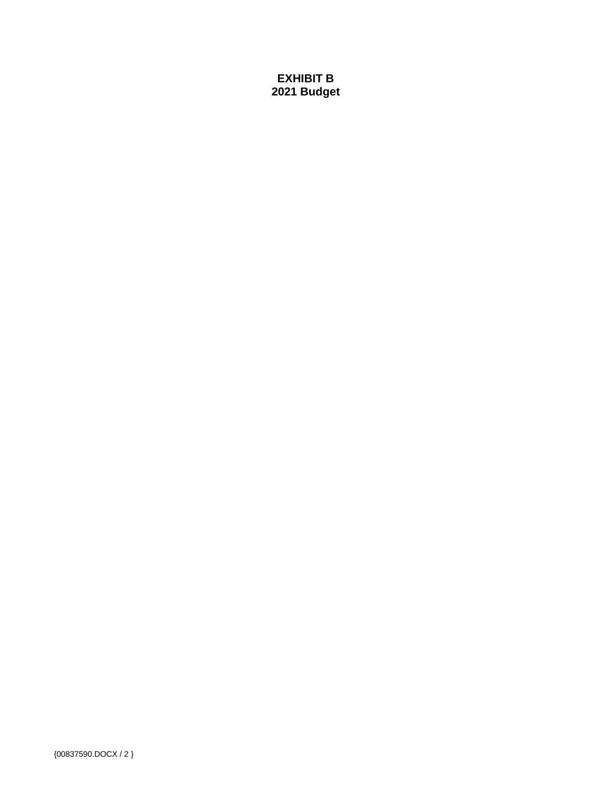# **EXHIBIT B 2021 Budget**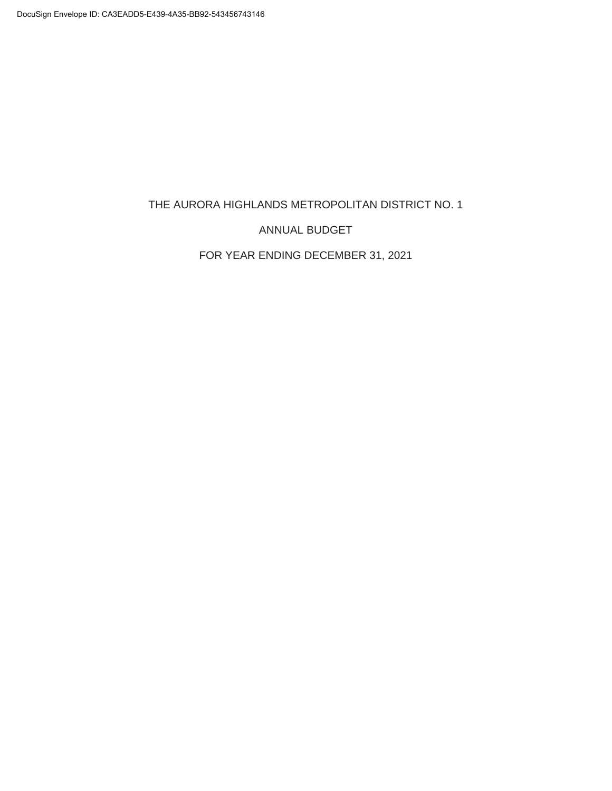THE AURORA HIGHLANDS METROPOLITAN DISTRICT NO. 1

ANNUAL BUDGET

FOR YEAR ENDING DECEMBER 31, 2021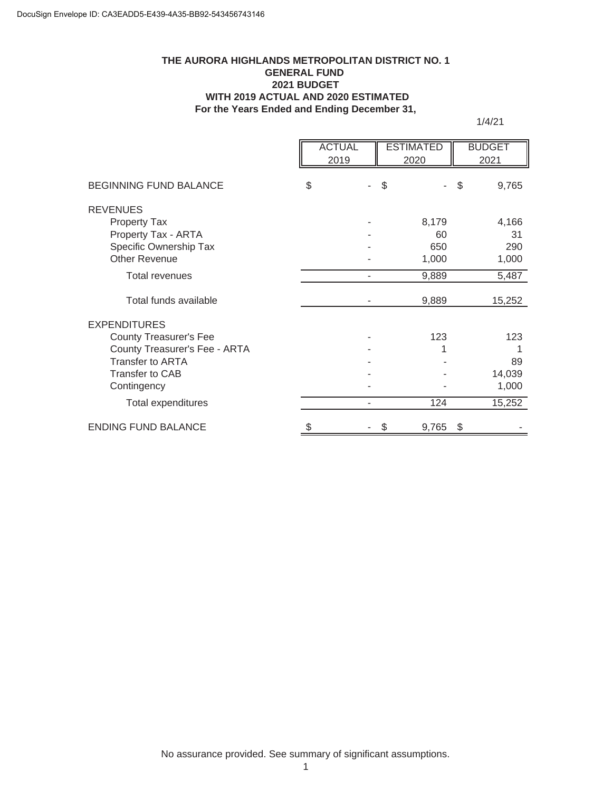#### **For the Years Ended and Ending December 31, THE AURORA HIGHLANDS METROPOLITAN DISTRICT NO. 1 GENERAL FUND 2021 BUDGET WITH 2019 ACTUAL AND 2020 ESTIMATED**

1/4/21

|                                               | <b>ACTUAL</b><br>2019 | <b>ESTIMATED</b><br>2020 |           | <b>BUDGET</b><br>2021 |
|-----------------------------------------------|-----------------------|--------------------------|-----------|-----------------------|
| <b>BEGINNING FUND BALANCE</b>                 | \$                    | \$                       |           | \$<br>9,765           |
| <b>REVENUES</b>                               |                       |                          |           |                       |
| <b>Property Tax</b>                           |                       |                          | 8,179     | 4,166                 |
| Property Tax - ARTA<br>Specific Ownership Tax |                       |                          | 60<br>650 | 31<br>290             |
| <b>Other Revenue</b>                          |                       |                          | 1,000     | 1,000                 |
| <b>Total revenues</b>                         |                       |                          | 9,889     | 5,487                 |
| Total funds available                         |                       |                          | 9,889     | 15,252                |
| <b>EXPENDITURES</b>                           |                       |                          |           |                       |
| <b>County Treasurer's Fee</b>                 |                       |                          | 123       | 123                   |
| County Treasurer's Fee - ARTA                 |                       |                          |           |                       |
| <b>Transfer to ARTA</b>                       |                       |                          |           | 89                    |
| <b>Transfer to CAB</b>                        |                       |                          |           | 14,039                |
| Contingency                                   |                       |                          |           | 1,000                 |
| Total expenditures                            |                       |                          | 124       | 15,252                |
| <b>ENDING FUND BALANCE</b>                    | \$                    | \$                       | 9,765     | \$                    |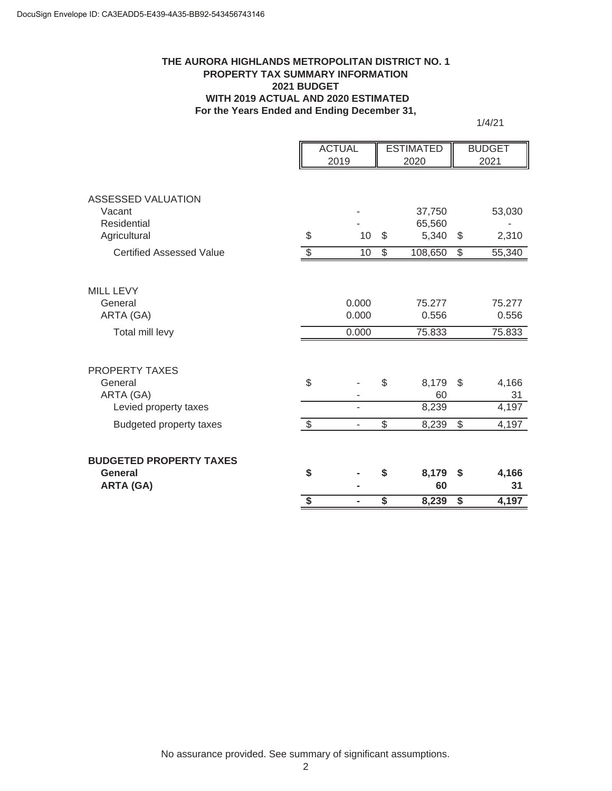#### **THE AURORA HIGHLANDS METROPOLITAN DISTRICT NO. 1 PROPERTY TAX SUMMARY INFORMATION 2021 BUDGET WITH 2019 ACTUAL AND 2020 ESTIMATED For the Years Ended and Ending December 31,**

1/4/21

|                                    |                          | <b>ACTUAL</b>            | <b>ESTIMATED</b>         |                  |                         | <b>BUDGET</b> |
|------------------------------------|--------------------------|--------------------------|--------------------------|------------------|-------------------------|---------------|
|                                    |                          | 2019                     |                          | 2020             |                         | 2021          |
| <b>ASSESSED VALUATION</b>          |                          |                          |                          |                  |                         |               |
| Vacant<br>Residential              |                          |                          |                          | 37,750<br>65,560 |                         | 53,030        |
| Agricultural                       | \$                       | 10                       | \$                       | 5,340            | \$                      | 2,310         |
| <b>Certified Assessed Value</b>    | $\overline{\mathcal{S}}$ | 10                       | $\overline{\mathcal{E}}$ | 108,650          | \$                      | 55,340        |
|                                    |                          |                          |                          |                  |                         |               |
| <b>MILL LEVY</b>                   |                          |                          |                          |                  |                         |               |
| General                            |                          | 0.000                    |                          | 75.277           |                         | 75.277        |
| ARTA (GA)                          |                          | 0.000                    |                          | 0.556            |                         | 0.556         |
| Total mill levy                    |                          | 0.000                    |                          | 75.833           |                         | 75.833        |
|                                    |                          |                          |                          |                  |                         |               |
| <b>PROPERTY TAXES</b>              |                          |                          |                          |                  |                         |               |
| General                            | \$                       |                          | \$                       | 8,179            | \$                      | 4,166         |
| ARTA (GA)<br>Levied property taxes |                          | -                        |                          | 60<br>8,239      |                         | 31<br>4,197   |
| <b>Budgeted property taxes</b>     | $\overline{\mathcal{G}}$ | $\overline{\phantom{0}}$ | $\overline{\mathcal{S}}$ | 8,239            | \$                      | 4,197         |
|                                    |                          |                          |                          |                  |                         |               |
| <b>BUDGETED PROPERTY TAXES</b>     |                          |                          |                          |                  |                         |               |
| <b>General</b>                     | \$                       |                          | \$                       | 8,179            | \$                      | 4,166         |
| <b>ARTA (GA)</b>                   |                          |                          |                          | 60               |                         | 31            |
|                                    | $\overline{\mathbf{s}}$  |                          | $\overline{\mathsf{s}}$  | 8,239            | $\overline{\mathbf{s}}$ | 4,197         |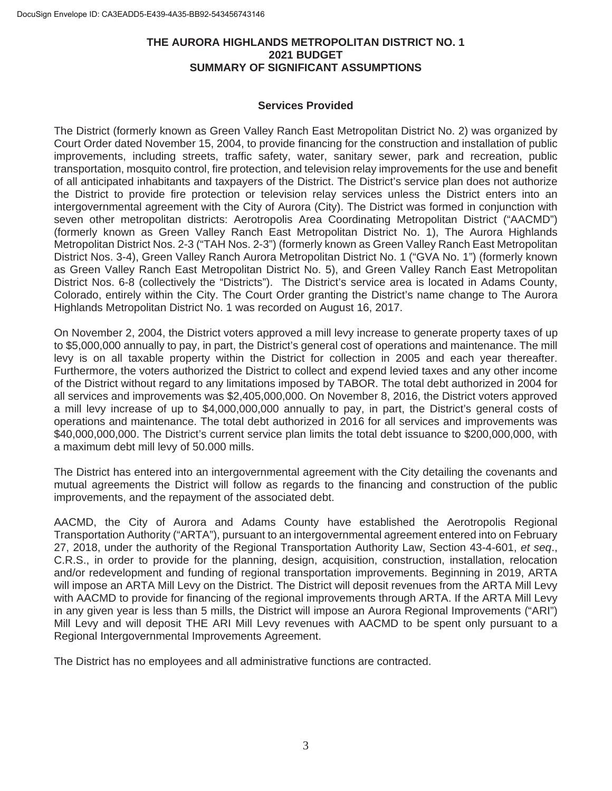#### **THE AURORA HIGHLANDS METROPOLITAN DISTRICT NO. 1 2021 BUDGET SUMMARY OF SIGNIFICANT ASSUMPTIONS**

#### **Services Provided**

The District (formerly known as Green Valley Ranch East Metropolitan District No. 2) was organized by Court Order dated November 15, 2004, to provide financing for the construction and installation of public improvements, including streets, traffic safety, water, sanitary sewer, park and recreation, public transportation, mosquito control, fire protection, and television relay improvements for the use and benefit of all anticipated inhabitants and taxpayers of the District. The District's service plan does not authorize the District to provide fire protection or television relay services unless the District enters into an intergovernmental agreement with the City of Aurora (City). The District was formed in conjunction with seven other metropolitan districts: Aerotropolis Area Coordinating Metropolitan District ("AACMD") (formerly known as Green Valley Ranch East Metropolitan District No. 1), The Aurora Highlands Metropolitan District Nos. 2-3 ("TAH Nos. 2-3") (formerly known as Green Valley Ranch East Metropolitan District Nos. 3-4), Green Valley Ranch Aurora Metropolitan District No. 1 ("GVA No. 1") (formerly known as Green Valley Ranch East Metropolitan District No. 5), and Green Valley Ranch East Metropolitan District Nos. 6-8 (collectively the "Districts"). The District's service area is located in Adams County, Colorado, entirely within the City. The Court Order granting the District's name change to The Aurora Highlands Metropolitan District No. 1 was recorded on August 16, 2017.

On November 2, 2004, the District voters approved a mill levy increase to generate property taxes of up to \$5,000,000 annually to pay, in part, the District's general cost of operations and maintenance. The mill levy is on all taxable property within the District for collection in 2005 and each year thereafter. Furthermore, the voters authorized the District to collect and expend levied taxes and any other income of the District without regard to any limitations imposed by TABOR. The total debt authorized in 2004 for all services and improvements was \$2,405,000,000. On November 8, 2016, the District voters approved a mill levy increase of up to \$4,000,000,000 annually to pay, in part, the District's general costs of operations and maintenance. The total debt authorized in 2016 for all services and improvements was \$40,000,000,000. The District's current service plan limits the total debt issuance to \$200,000,000, with a maximum debt mill levy of 50.000 mills.

The District has entered into an intergovernmental agreement with the City detailing the covenants and mutual agreements the District will follow as regards to the financing and construction of the public improvements, and the repayment of the associated debt.

AACMD, the City of Aurora and Adams County have established the Aerotropolis Regional Transportation Authority ("ARTA"), pursuant to an intergovernmental agreement entered into on February 27, 2018, under the authority of the Regional Transportation Authority Law, Section 43-4-601, *et seq*., C.R.S., in order to provide for the planning, design, acquisition, construction, installation, relocation and/or redevelopment and funding of regional transportation improvements. Beginning in 2019, ARTA will impose an ARTA Mill Levy on the District. The District will deposit revenues from the ARTA Mill Levy with AACMD to provide for financing of the regional improvements through ARTA. If the ARTA Mill Levy in any given year is less than 5 mills, the District will impose an Aurora Regional Improvements ("ARI") Mill Levy and will deposit THE ARI Mill Levy revenues with AACMD to be spent only pursuant to a Regional Intergovernmental Improvements Agreement.

The District has no employees and all administrative functions are contracted.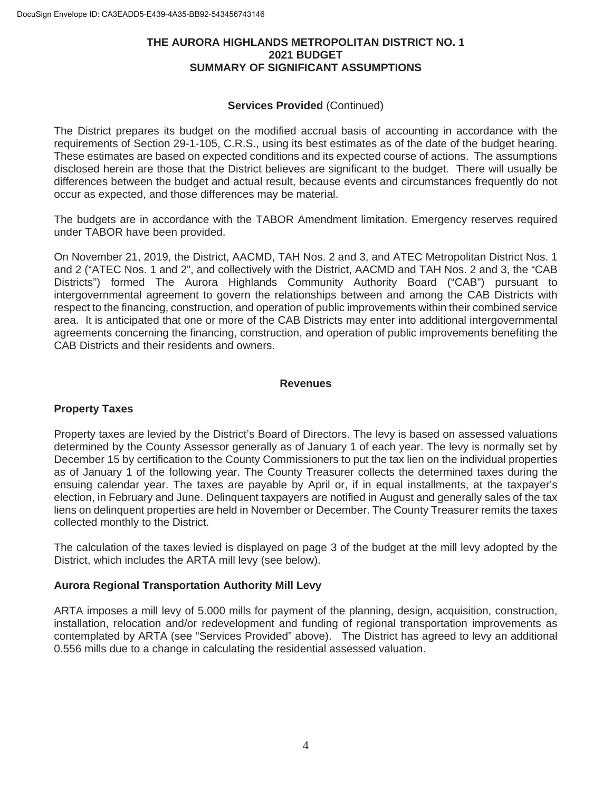#### **THE AURORA HIGHLANDS METROPOLITAN DISTRICT NO. 1 2021 BUDGET SUMMARY OF SIGNIFICANT ASSUMPTIONS**

#### **Services Provided** (Continued)

The District prepares its budget on the modified accrual basis of accounting in accordance with the requirements of Section 29-1-105, C.R.S., using its best estimates as of the date of the budget hearing. These estimates are based on expected conditions and its expected course of actions. The assumptions disclosed herein are those that the District believes are significant to the budget. There will usually be differences between the budget and actual result, because events and circumstances frequently do not occur as expected, and those differences may be material.

The budgets are in accordance with the TABOR Amendment limitation. Emergency reserves required under TABOR have been provided.

On November 21, 2019, the District, AACMD, TAH Nos. 2 and 3, and ATEC Metropolitan District Nos. 1 and 2 ("ATEC Nos. 1 and 2", and collectively with the District, AACMD and TAH Nos. 2 and 3, the "CAB Districts") formed The Aurora Highlands Community Authority Board ("CAB") pursuant to intergovernmental agreement to govern the relationships between and among the CAB Districts with respect to the financing, construction, and operation of public improvements within their combined service area. It is anticipated that one or more of the CAB Districts may enter into additional intergovernmental agreements concerning the financing, construction, and operation of public improvements benefiting the CAB Districts and their residents and owners.

#### **Revenues**

#### **Property Taxes**

Property taxes are levied by the District's Board of Directors. The levy is based on assessed valuations determined by the County Assessor generally as of January 1 of each year. The levy is normally set by December 15 by certification to the County Commissioners to put the tax lien on the individual properties as of January 1 of the following year. The County Treasurer collects the determined taxes during the ensuing calendar year. The taxes are payable by April or, if in equal installments, at the taxpayer's election, in February and June. Delinquent taxpayers are notified in August and generally sales of the tax liens on delinquent properties are held in November or December. The County Treasurer remits the taxes collected monthly to the District.

The calculation of the taxes levied is displayed on page 3 of the budget at the mill levy adopted by the District, which includes the ARTA mill levy (see below).

#### **Aurora Regional Transportation Authority Mill Levy**

ARTA imposes a mill levy of 5.000 mills for payment of the planning, design, acquisition, construction, installation, relocation and/or redevelopment and funding of regional transportation improvements as contemplated by ARTA (see "Services Provided" above). The District has agreed to levy an additional 0.556 mills due to a change in calculating the residential assessed valuation.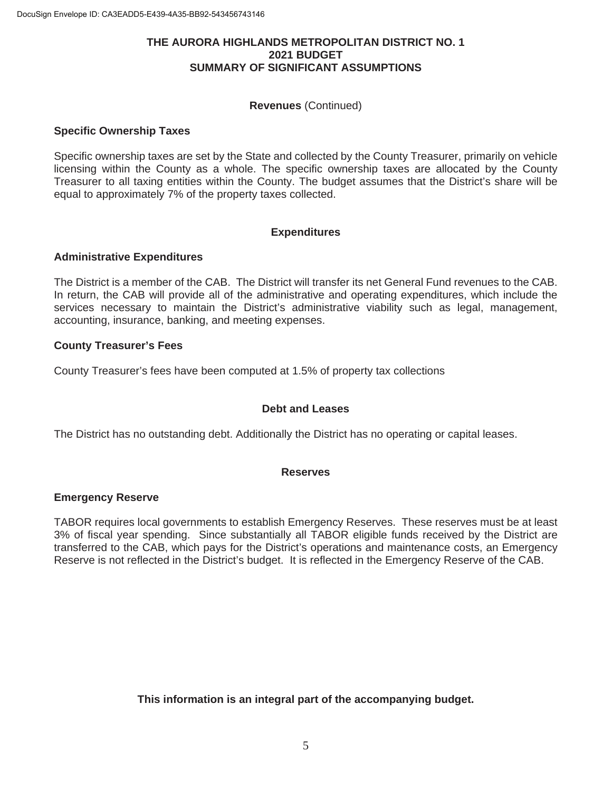#### **THE AURORA HIGHLANDS METROPOLITAN DISTRICT NO. 1 2021 BUDGET SUMMARY OF SIGNIFICANT ASSUMPTIONS**

#### **Revenues** (Continued)

#### **Specific Ownership Taxes**

Specific ownership taxes are set by the State and collected by the County Treasurer, primarily on vehicle licensing within the County as a whole. The specific ownership taxes are allocated by the County Treasurer to all taxing entities within the County. The budget assumes that the District's share will be equal to approximately 7% of the property taxes collected.

#### **Expenditures**

#### **Administrative Expenditures**

The District is a member of the CAB. The District will transfer its net General Fund revenues to the CAB. In return, the CAB will provide all of the administrative and operating expenditures, which include the services necessary to maintain the District's administrative viability such as legal, management, accounting, insurance, banking, and meeting expenses.

#### **County Treasurer's Fees**

County Treasurer's fees have been computed at 1.5% of property tax collections

#### **Debt and Leases**

The District has no outstanding debt. Additionally the District has no operating or capital leases.

#### **Reserves**

#### **Emergency Reserve**

TABOR requires local governments to establish Emergency Reserves. These reserves must be at least 3% of fiscal year spending. Since substantially all TABOR eligible funds received by the District are transferred to the CAB, which pays for the District's operations and maintenance costs, an Emergency Reserve is not reflected in the District's budget. It is reflected in the Emergency Reserve of the CAB.

**This information is an integral part of the accompanying budget.**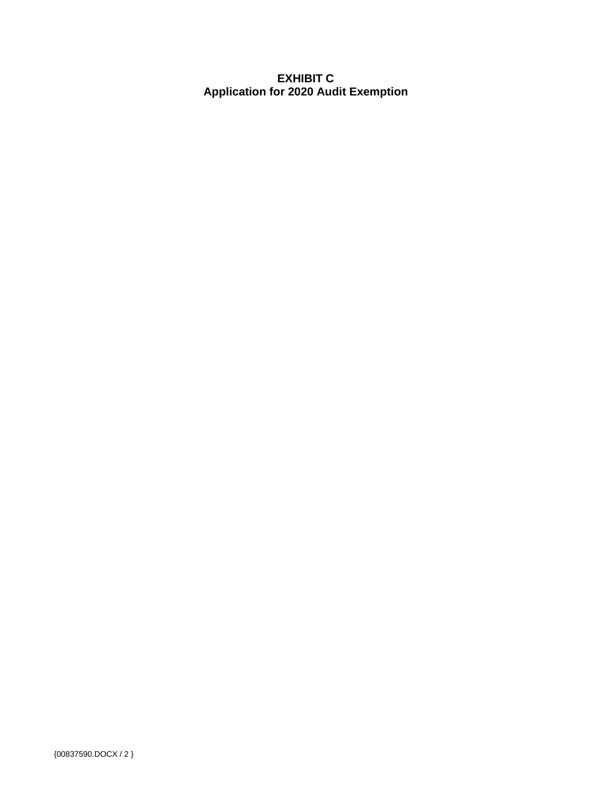# **EXHIBIT C Application for 2020 Audit Exemption**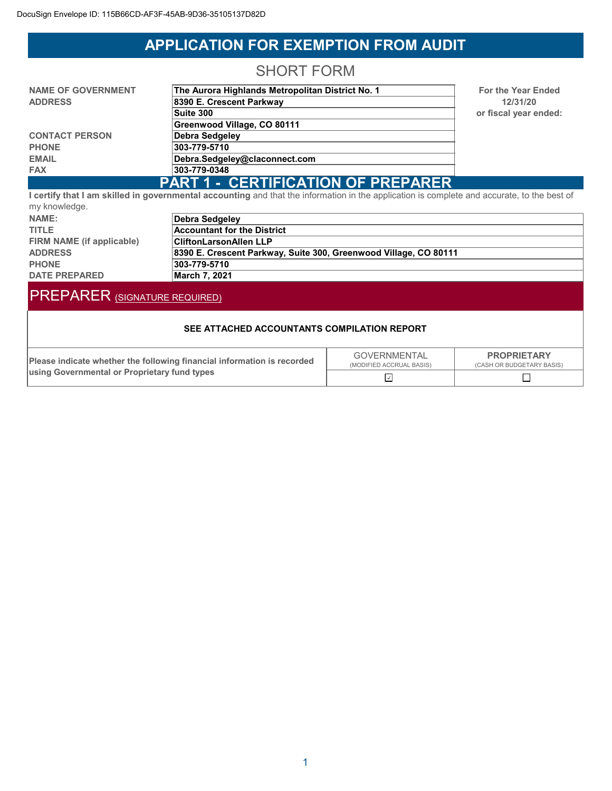# **APPLICATION FOR EXEMPTION FROM AUDIT**

# SHORT FORM

| <b>NAME OF GOVERNMENT</b>                 | The Aurora Highlands Metropolitan District No. 1 |  |  |  |  |
|-------------------------------------------|--------------------------------------------------|--|--|--|--|
| <b>ADDRESS</b>                            | 8390 E. Crescent Parkway                         |  |  |  |  |
|                                           | Suite 300                                        |  |  |  |  |
|                                           | Greenwood Village, CO 80111                      |  |  |  |  |
| <b>CONTACT PERSON</b>                     | Debra Sedgeley                                   |  |  |  |  |
| <b>PHONE</b>                              | 303-779-5710                                     |  |  |  |  |
| <b>EMAIL</b>                              | Debra.Sedgeley@claconnect.com                    |  |  |  |  |
| <b>FAX</b>                                | 303-779-0348                                     |  |  |  |  |
| <b>PART 1 - CERTIFICATION OF PREPARER</b> |                                                  |  |  |  |  |

**For the Year Ended 12/31/20 or fiscal year ended:**

**I certify that I am skilled in governmental accounting** and that the information in the application is complete and accurate, to the best of my knowledge.

| $ ,$ $ -  -  -  -$        |                                                                  |
|---------------------------|------------------------------------------------------------------|
| NAME:                     | Debra Sedgeley                                                   |
| <b>TITLE</b>              | <b>Accountant for the District</b>                               |
| FIRM NAME (if applicable) | <b>CliftonLarsonAllen LLP</b>                                    |
| <b>ADDRESS</b>            | 8390 E. Crescent Parkway, Suite 300, Greenwood Village, CO 80111 |
| <b>PHONE</b>              | 303-779-5710                                                     |
| <b>DATE PREPARED</b>      | March 7. 2021                                                    |

# PREPARER (SIGNATURE REQUIRED)

#### **SEE ATTACHED ACCOUNTANTS COMPILATION REPORT**

| Please indicate whether the following financial information is recorded<br><b>Lusing Governmental or Proprietary fund types</b> | <b>GOVERNMENTAL</b><br>(MODIFIED ACCRUAL BASIS) | <b>PROPRIETARY</b><br>(CASH OR BUDGETARY BASIS) |  |  |
|---------------------------------------------------------------------------------------------------------------------------------|-------------------------------------------------|-------------------------------------------------|--|--|
|                                                                                                                                 |                                                 |                                                 |  |  |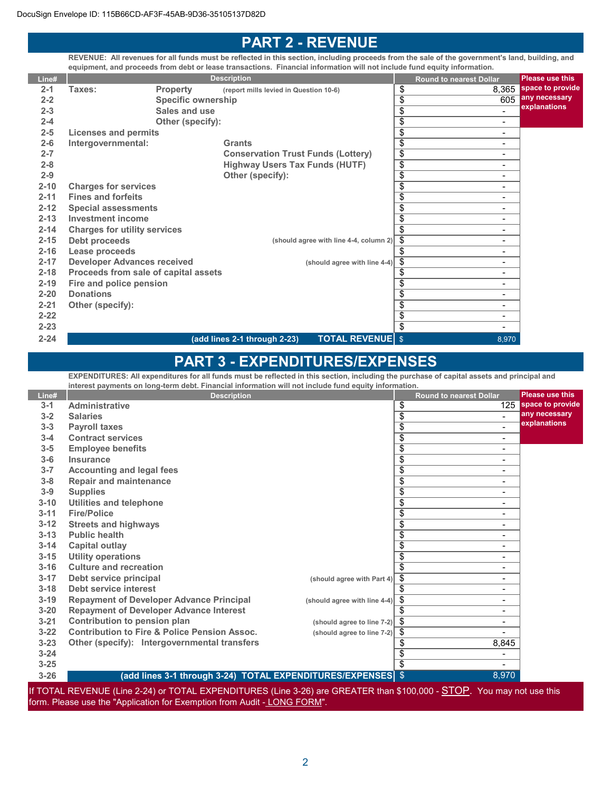# **PART 2 - REVENUE**

**REVENUE: All revenues for all funds must be reflected in this section, including proceeds from the sale of the government's land, building, and equipment, and proceeds from debt or lease transactions. Financial information will not include fund equity information.**

| Line#    |                                      |                           | <b>Description</b>                                      |                 | <b>Round to nearest Dollar</b> | <b>Please use this</b> |
|----------|--------------------------------------|---------------------------|---------------------------------------------------------|-----------------|--------------------------------|------------------------|
| $2 - 1$  | Taxes:                               | <b>Property</b>           | (report mills levied in Question 10-6)                  | \$              | 8,365                          | space to provide       |
| $2 - 2$  |                                      | <b>Specific ownership</b> |                                                         | $\overline{\$}$ | 605                            | any necessary          |
| $2 - 3$  |                                      | Sales and use             |                                                         | $\overline{\$}$ |                                | explanations           |
| $2 - 4$  |                                      | Other (specify):          |                                                         | $\overline{\$}$ | $\overline{\phantom{a}}$       |                        |
| $2 - 5$  | Licenses and permits                 |                           |                                                         | \$              | $\blacksquare$                 |                        |
| $2 - 6$  | Intergovernmental:                   |                           | Grants                                                  | $\overline{\$}$ | Ξ.                             |                        |
| $2 - 7$  |                                      |                           | <b>Conservation Trust Funds (Lottery)</b>               | $\overline{\$}$ | $\blacksquare$                 |                        |
| $2 - 8$  |                                      |                           | <b>Highway Users Tax Funds (HUTF)</b>                   | $\overline{\$}$ | Ξ.                             |                        |
| $2 - 9$  |                                      |                           | Other (specify):                                        | $\overline{\$}$ | Ξ.                             |                        |
| $2 - 10$ | <b>Charges for services</b>          |                           |                                                         | $\overline{\$}$ | -                              |                        |
| $2 - 11$ | <b>Fines and forfeits</b>            |                           |                                                         | $\overline{\$}$ | ۰                              |                        |
| $2 - 12$ | <b>Special assessments</b>           |                           |                                                         | $\overline{\$}$ | Ξ.                             |                        |
| $2 - 13$ | <b>Investment income</b>             |                           |                                                         | $\overline{\$}$ | Ξ.                             |                        |
| $2 - 14$ | <b>Charges for utility services</b>  |                           |                                                         | \$              | Ξ.                             |                        |
| $2 - 15$ | Debt proceeds                        |                           | (should agree with line 4-4, column 2)                  | \$              | Ξ.                             |                        |
| $2 - 16$ | Lease proceeds                       |                           |                                                         | \$              | Ξ.                             |                        |
| $2 - 17$ | <b>Developer Advances received</b>   |                           | (should agree with line 4-4)                            | \$              | Ξ.                             |                        |
| $2 - 18$ | Proceeds from sale of capital assets |                           |                                                         | \$              | Ξ.                             |                        |
| $2 - 19$ | Fire and police pension              |                           |                                                         | \$              | Ξ.                             |                        |
| $2 - 20$ | <b>Donations</b>                     |                           |                                                         | \$              | Ξ.                             |                        |
| $2 - 21$ | Other (specify):                     |                           |                                                         | \$              | $\blacksquare$                 |                        |
| $2 - 22$ |                                      |                           |                                                         | $\overline{\$}$ | -                              |                        |
| $2 - 23$ |                                      |                           |                                                         | $\overline{\$}$ | Ξ.                             |                        |
| $2 - 24$ |                                      |                           | <b>TOTAL REVENUE \$</b><br>(add lines 2-1 through 2-23) |                 | 8,970                          |                        |

# **PART 3 - EXPENDITURES/EXPENSES**

**EXPENDITURES: All expenditures for all funds must be reflected in this section, including the purchase of capital assets and principal and interest payments on long-term debt. Financial information will not include fund equity information.**

| Line#    | <b>Description</b>                                      |                                   | <b>Round to nearest Dollar</b> |                          | <b>Please use this</b> |
|----------|---------------------------------------------------------|-----------------------------------|--------------------------------|--------------------------|------------------------|
| $3 - 1$  | <b>Administrative</b>                                   |                                   | \$                             | 125                      | space to provide       |
| $3 - 2$  | <b>Salaries</b>                                         |                                   | \$                             | $\blacksquare$           | any necessary          |
| $3 - 3$  | <b>Payroll taxes</b>                                    |                                   | \$                             | ۰                        | explanations           |
| $3 - 4$  | <b>Contract services</b>                                |                                   | \$                             | $\blacksquare$           |                        |
| $3 - 5$  | <b>Employee benefits</b>                                |                                   | \$                             | Ξ.                       |                        |
| $3-6$    | Insurance                                               |                                   | \$                             | Ξ.                       |                        |
| $3 - 7$  | <b>Accounting and legal fees</b>                        |                                   | \$                             | Ξ.                       |                        |
| $3 - 8$  | <b>Repair and maintenance</b>                           |                                   | \$                             | ۰                        |                        |
| $3 - 9$  | <b>Supplies</b>                                         |                                   | $\overline{\$}$                | Ξ.                       |                        |
| $3 - 10$ | Utilities and telephone                                 |                                   | \$                             | Ξ.                       |                        |
| $3 - 11$ | <b>Fire/Police</b>                                      |                                   | $\overline{\$}$                | Ξ.                       |                        |
| $3 - 12$ | <b>Streets and highways</b>                             |                                   | $\overline{\$}$                | -                        |                        |
| $3 - 13$ | <b>Public health</b>                                    |                                   | \$                             | Ξ.                       |                        |
| $3 - 14$ | Capital outlay                                          |                                   | $\overline{\$}$                | $\blacksquare$           |                        |
| $3 - 15$ | <b>Utility operations</b>                               |                                   | \$                             | Ξ.                       |                        |
| $3 - 16$ | <b>Culture and recreation</b>                           |                                   | \$                             | -                        |                        |
| $3 - 17$ | Debt service principal                                  | (should agree with Part 4)        | \$                             | $\overline{\phantom{0}}$ |                        |
| $3 - 18$ | Debt service interest                                   |                                   | \$                             | Ξ.                       |                        |
| $3 - 19$ | <b>Repayment of Developer Advance Principal</b>         | (should agree with line 4-4)      | \$                             | Ξ.                       |                        |
| $3 - 20$ | <b>Repayment of Developer Advance Interest</b>          |                                   | \$                             | Ξ.                       |                        |
| $3 - 21$ | Contribution to pension plan                            | (should agree to line 7-2) $\int$ |                                | Ξ.                       |                        |
| $3 - 22$ | <b>Contribution to Fire &amp; Police Pension Assoc.</b> | (should agree to line 7-2)        | -\$                            |                          |                        |
| $3 - 23$ | Other (specify): Intergovernmental transfers            |                                   | \$                             | 8,845                    |                        |
| $3 - 24$ |                                                         |                                   | \$                             | Ξ.                       |                        |
| $3 - 25$ |                                                         |                                   | \$                             |                          |                        |
| $3 - 26$ |                                                         |                                   |                                | 8,970                    |                        |

If TOTAL REVENUE (Line 2-24) or TOTAL EXPENDITURES (Line 3-26) are GREATER than \$100,000 - **STOP**. You may not use this form. Please use the "Application for Exemption from Audit - LONG FORM".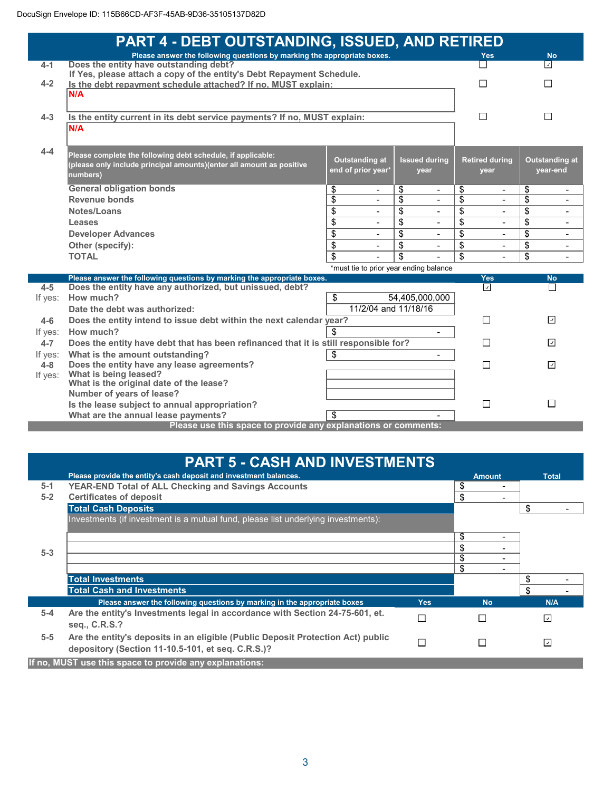|                    | <b>PART 4 - DEBT OUTSTANDING, ISSUED, AND RETIRED</b>                                                             |                                             |                                   |                                |                                             |
|--------------------|-------------------------------------------------------------------------------------------------------------------|---------------------------------------------|-----------------------------------|--------------------------------|---------------------------------------------|
| $4 - 1$            | Please answer the following questions by marking the appropriate boxes.<br>Does the entity have outstanding debt? |                                             |                                   | <b>Yes</b>                     | <b>No</b><br>$\overline{\mathcal{L}}$       |
|                    | If Yes, please attach a copy of the entity's Debt Repayment Schedule.                                             |                                             |                                   |                                |                                             |
| $4 - 2$            | Is the debt repayment schedule attached? If no, MUST explain:                                                     |                                             |                                   | П                              | П                                           |
|                    | N/A                                                                                                               |                                             |                                   |                                |                                             |
|                    |                                                                                                                   |                                             |                                   |                                |                                             |
| $4 - 3$            | Is the entity current in its debt service payments? If no, MUST explain:                                          |                                             |                                   | П                              | П                                           |
|                    | N/A                                                                                                               |                                             |                                   |                                |                                             |
|                    |                                                                                                                   |                                             |                                   |                                |                                             |
| $4 - 4$            | Please complete the following debt schedule, if applicable:                                                       |                                             |                                   |                                |                                             |
|                    | (please only include principal amounts)(enter all amount as positive                                              | <b>Outstanding at</b><br>end of prior year* | <b>Issued during</b><br>vear      | <b>Retired during</b><br>vear  | <b>Outstanding at</b><br>year-end           |
|                    | numbers)                                                                                                          |                                             |                                   |                                |                                             |
|                    | <b>General obligation bonds</b>                                                                                   | \$<br>$\blacksquare$                        | \$<br>$\blacksquare$              | \$<br>$\overline{\phantom{0}}$ | \$<br>$\blacksquare$                        |
|                    | Revenue bonds                                                                                                     | \$                                          | \$                                | \$                             | \$                                          |
|                    | Notes/Loans                                                                                                       | \$                                          | \$                                | $\overline{\$}$                | $\overline{\$}$<br>$\blacksquare$           |
|                    | Leases                                                                                                            | \$                                          | \$                                | \$                             | \$<br>$\blacksquare$                        |
|                    | <b>Developer Advances</b>                                                                                         | \$<br>$\blacksquare$                        | $\overline{\$}$<br>$\blacksquare$ | $\overline{\$}$<br>Ξ.          | $\overline{\$}$<br>$\blacksquare$           |
|                    | Other (specify):                                                                                                  | $\overline{\$}$<br>$\blacksquare$           | \$<br>$\blacksquare$              | $\overline{\$}$<br>÷           | $\overline{\$}$<br>$\overline{\phantom{a}}$ |
|                    | <b>TOTAL</b>                                                                                                      | \$                                          | \$                                | \$                             | \$                                          |
|                    |                                                                                                                   | *must tie to prior year ending balance      |                                   |                                |                                             |
|                    | Please answer the following questions by marking the appropriate boxes.                                           |                                             |                                   | <b>Yes</b><br>⊡                | <b>No</b><br>$\Box$                         |
| $4 - 5$<br>If yes: | Does the entity have any authorized, but unissued, debt?<br>How much?                                             | \$                                          | 54,405,000,000                    |                                |                                             |
|                    | Date the debt was authorized:                                                                                     | 11/2/04 and 11/18/16                        |                                   |                                |                                             |
| $4 - 6$            | Does the entity intend to issue debt within the next calendar year?                                               |                                             |                                   | П                              | $\backsim$                                  |
| If yes:            | How much?                                                                                                         | \$                                          | $\sim$                            |                                |                                             |
| $4 - 7$            | Does the entity have debt that has been refinanced that it is still responsible for?                              |                                             |                                   | П                              | $\overline{\phantom{a}}$                    |
| If yes:            | What is the amount outstanding?                                                                                   |                                             |                                   |                                |                                             |
| $4-8$              | Does the entity have any lease agreements?                                                                        | П                                           | $\overline{\mathcal{L}}$          |                                |                                             |
| If yes:            | What is being leased?                                                                                             |                                             |                                   |                                |                                             |
|                    | What is the original date of the lease?                                                                           |                                             |                                   |                                |                                             |
|                    | Number of years of lease?                                                                                         |                                             |                                   | $\Box$                         | $\Box$                                      |
|                    | Is the lease subject to annual appropriation?                                                                     | \$                                          |                                   |                                |                                             |
|                    | What are the annual lease payments?<br>Please use this space to provide any explanations or comments:             |                                             |                                   |                                |                                             |

|         | <b>PART 5 - CASH AND INVESTMENTS</b>                                                                                                 |            |               |                          |
|---------|--------------------------------------------------------------------------------------------------------------------------------------|------------|---------------|--------------------------|
|         | Please provide the entity's cash deposit and investment balances.                                                                    |            | <b>Amount</b> | <b>Total</b>             |
| $5-1$   | <b>YEAR-END Total of ALL Checking and Savings Accounts</b>                                                                           |            | \$            |                          |
| $5-2$   | <b>Certificates of deposit</b>                                                                                                       |            | \$            |                          |
|         | <b>Total Cash Deposits</b>                                                                                                           |            |               | \$                       |
|         | Investments (if investment is a mutual fund, please list underlying investments):                                                    |            |               |                          |
|         |                                                                                                                                      |            | \$            |                          |
| $5-3$   |                                                                                                                                      |            | \$            |                          |
|         |                                                                                                                                      |            | \$            |                          |
|         |                                                                                                                                      |            | \$            |                          |
|         | <b>Total Investments</b>                                                                                                             |            |               | \$                       |
|         | <b>Total Cash and Investments</b>                                                                                                    |            |               | \$                       |
|         | Please answer the following questions by marking in the appropriate boxes                                                            | <b>Yes</b> | <b>No</b>     | N/A                      |
| $5 - 4$ | Are the entity's Investments legal in accordance with Section 24-75-601, et.<br>seq., C.R.S.?                                        | П          |               | $\sqrt{ }$               |
| $5-5$   | Are the entity's deposits in an eligible (Public Deposit Protection Act) public<br>depository (Section 11-10.5-101, et seq. C.R.S.)? | $\Box$     |               | $\overline{\mathcal{L}}$ |
|         | If no, MUST use this space to provide any explanations:                                                                              |            |               |                          |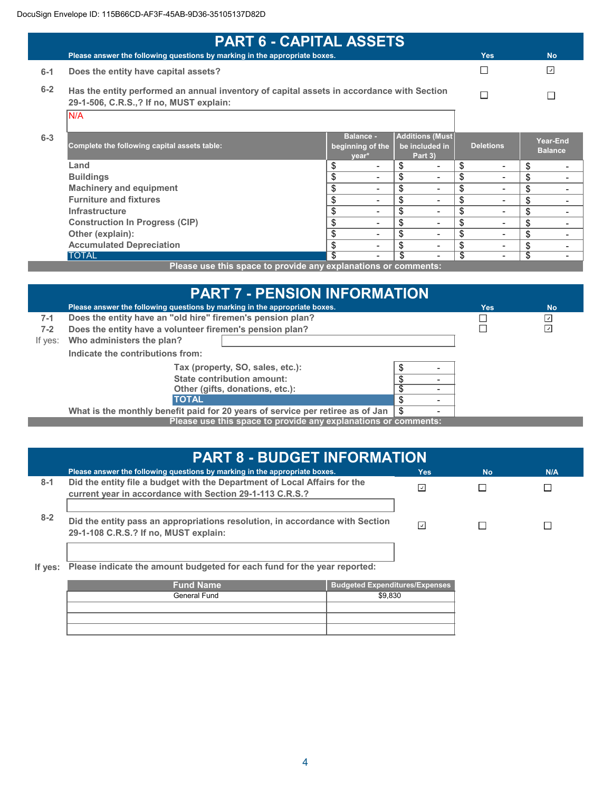| <b>PART 6 - CAPITAL ASSETS</b> |                                                                                                                                      |    |                                               |    |                                                      |                                    |                            |
|--------------------------------|--------------------------------------------------------------------------------------------------------------------------------------|----|-----------------------------------------------|----|------------------------------------------------------|------------------------------------|----------------------------|
|                                | Please answer the following questions by marking in the appropriate boxes.                                                           |    |                                               |    |                                                      | <b>Yes</b>                         | <b>No</b>                  |
| $6-1$                          | Does the entity have capital assets?                                                                                                 |    |                                               |    |                                                      |                                    | ⊡                          |
| $6 - 2$                        | Has the entity performed an annual inventory of capital assets in accordance with Section<br>29-1-506, C.R.S.,? If no, MUST explain: |    |                                               | П  |                                                      |                                    |                            |
|                                | N/A                                                                                                                                  |    |                                               |    |                                                      |                                    |                            |
| $6 - 3$                        | Complete the following capital assets table:                                                                                         |    | <b>Balance -</b><br>beginning of the<br>year* |    | <b>Additions (Must)</b><br>be included in<br>Part 3) | <b>Deletions</b>                   | Year-End<br><b>Balance</b> |
|                                | Land                                                                                                                                 | \$ |                                               | \$ |                                                      | \$<br>$\overline{\phantom{0}}$     | \$                         |
|                                | <b>Buildings</b>                                                                                                                     | \$ | $\overline{\phantom{0}}$                      | \$ |                                                      | \$<br>$\qquad \qquad \blacksquare$ | \$                         |
|                                | <b>Machinery and equipment</b>                                                                                                       | \$ | $\overline{\phantom{0}}$                      | \$ |                                                      | \$<br>$\overline{\phantom{0}}$     | \$                         |
|                                | <b>Furniture and fixtures</b>                                                                                                        | \$ | $\overline{\phantom{0}}$                      | \$ | -                                                    | \$<br>$\overline{\phantom{0}}$     | \$                         |
|                                | <b>Infrastructure</b>                                                                                                                | \$ | $\overline{\phantom{0}}$                      | \$ |                                                      | \$<br>$\overline{\phantom{0}}$     | \$                         |
|                                | <b>Construction In Progress (CIP)</b>                                                                                                | \$ | $\blacksquare$                                | \$ | ۰                                                    | \$<br>$\overline{\phantom{0}}$     | \$                         |
|                                | Other (explain):                                                                                                                     | \$ | $\overline{\phantom{0}}$                      | \$ |                                                      | \$<br>$\overline{\phantom{0}}$     | \$                         |
|                                | <b>Accumulated Depreciation</b>                                                                                                      | \$ |                                               | \$ |                                                      | \$<br>-                            | \$                         |
|                                | <b>TOTAL</b>                                                                                                                         | \$ |                                               | \$ |                                                      | \$<br>٠                            | \$                         |

**Please use this space to provide any explanations or comments:**

|         | <b>PART 7 - PENSION INFORMATION</b>                                                   |  |  |     |                          |  |
|---------|---------------------------------------------------------------------------------------|--|--|-----|--------------------------|--|
|         | Please answer the following questions by marking in the appropriate boxes.            |  |  | Yes | <b>No</b>                |  |
| $7-1$   | Does the entity have an "old hire" firemen's pension plan?                            |  |  |     | ⊡                        |  |
| $7 - 2$ | Does the entity have a volunteer firemen's pension plan?                              |  |  |     | $\overline{\mathcal{L}}$ |  |
| If yes: | Who administers the plan?                                                             |  |  |     |                          |  |
|         | Indicate the contributions from:                                                      |  |  |     |                          |  |
|         | Tax (property, SO, sales, etc.):                                                      |  |  |     |                          |  |
|         | State contribution amount:                                                            |  |  |     |                          |  |
|         | Other (gifts, donations, etc.):                                                       |  |  |     |                          |  |
|         | <b>TOTAL</b><br>S                                                                     |  |  |     |                          |  |
|         | What is the monthly benefit paid for 20 years of service per retiree as of Jan<br>\$. |  |  |     |                          |  |
|         | Please use this space to provide any explanations or comments:                        |  |  |     |                          |  |

|         | <b>PART 8 - BUDGET INFORMATION</b>                                                                                                    |                          |           |     |  |  |
|---------|---------------------------------------------------------------------------------------------------------------------------------------|--------------------------|-----------|-----|--|--|
|         | Please answer the following questions by marking in the appropriate boxes.                                                            | Yes:                     | <b>No</b> | N/A |  |  |
| $8 - 1$ | Did the entity file a budget with the Department of Local Affairs for the<br>current year in accordance with Section 29-1-113 C.R.S.? | $\vert \downarrow \vert$ |           |     |  |  |
| $8 - 2$ | Did the entity pass an appropriations resolution, in accordance with Section<br>29-1-108 C.R.S.? If no, MUST explain:                 | ان                       |           |     |  |  |

**If yes: Please indicate the amount budgeted for each fund for the year reported:**

| <b>Fund Name</b> | <b>Budgeted Expenditures/Expenses</b> |
|------------------|---------------------------------------|
| General Fund     | \$9.830                               |
|                  |                                       |
|                  |                                       |
|                  |                                       |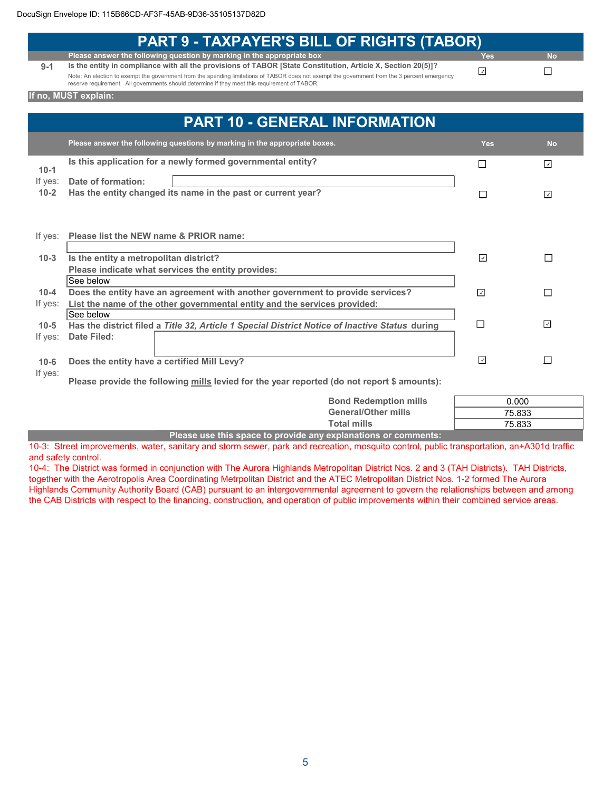|          | <b>PART 9 - TAXPAYER'S BILL OF RIGHTS (TABOR)</b>                                                                                             |                          |                          |
|----------|-----------------------------------------------------------------------------------------------------------------------------------------------|--------------------------|--------------------------|
|          | Please answer the following question by marking in the appropriate box                                                                        | Yes                      | <b>No</b>                |
| $9 - 1$  | Is the entity in compliance with all the provisions of TABOR [State Constitution, Article X, Section 20(5)]?                                  | ⊡                        |                          |
|          | Note: An election to exempt the government from the spending limitations of TABOR does not exempt the government from the 3 percent emergency |                          | $\mathsf{L}$             |
|          | reserve requirement. All governments should determine if they meet this requirement of TABOR.                                                 |                          |                          |
|          | If no, MUST explain:                                                                                                                          |                          |                          |
|          |                                                                                                                                               |                          |                          |
|          | <b>PART 10 - GENERAL INFORMATION</b>                                                                                                          |                          |                          |
|          | Please answer the following questions by marking in the appropriate boxes.                                                                    | Yes                      | <b>No</b>                |
|          | Is this application for a newly formed governmental entity?                                                                                   | $\mathbf{L}$             | ⊡                        |
| $10-1$   |                                                                                                                                               |                          |                          |
| If yes:  | Date of formation:                                                                                                                            |                          |                          |
| $10-2$   | Has the entity changed its name in the past or current year?                                                                                  | П                        | ☑                        |
|          |                                                                                                                                               |                          |                          |
|          |                                                                                                                                               |                          |                          |
| If yes:  | Please list the NEW name & PRIOR name:                                                                                                        |                          |                          |
|          |                                                                                                                                               |                          |                          |
| $10-3$   | Is the entity a metropolitan district?                                                                                                        | ⊡                        | П                        |
|          | Please indicate what services the entity provides:                                                                                            |                          |                          |
|          | See below                                                                                                                                     |                          |                          |
| $10 - 4$ | Does the entity have an agreement with another government to provide services?                                                                | $\overline{\mathcal{L}}$ | П                        |
| If yes:  | List the name of the other governmental entity and the services provided:                                                                     |                          |                          |
|          | See below                                                                                                                                     |                          |                          |
| $10 - 5$ | Has the district filed a Title 32, Article 1 Special District Notice of Inactive Status during                                                | П                        | $\overline{\phantom{a}}$ |
| If yes:  | <b>Date Filed:</b>                                                                                                                            |                          |                          |
|          |                                                                                                                                               |                          |                          |
| $10 - 6$ | Does the entity have a certified Mill Levy?                                                                                                   | $\overline{\phantom{a}}$ | П                        |
| If yes:  |                                                                                                                                               |                          |                          |
|          | Please provide the following mills levied for the year reported (do not report \$ amounts):                                                   |                          |                          |
|          | <b>Bond Redemption mills</b>                                                                                                                  |                          | 0.000                    |
|          |                                                                                                                                               |                          |                          |

| <b>Bond Redemption mills</b>                                   | 0.000  |
|----------------------------------------------------------------|--------|
| <b>General/Other mills</b>                                     | 75.833 |
| Total mills                                                    | 75.833 |
| Please use this space to provide any explanations or comments: |        |

10-3: Street improvements, water, sanitary and storm sewer, park and recreation, mosquito control, public transportation, an+A301d traffic and safety control.

10-4: The District was formed in conjunction with The Aurora Highlands Metropolitan District Nos. 2 and 3 (TAH Districts). TAH Districts, together with the Aerotropolis Area Coordinating Metrpolitan District and the ATEC Metropolitan District Nos. 1-2 formed The Aurora Highlands Community Authority Board (CAB) pursuant to an intergovernmental agreement to govern the relationships between and among the CAB Districts with respect to the financing, construction, and operation of public improvements within their combined service areas.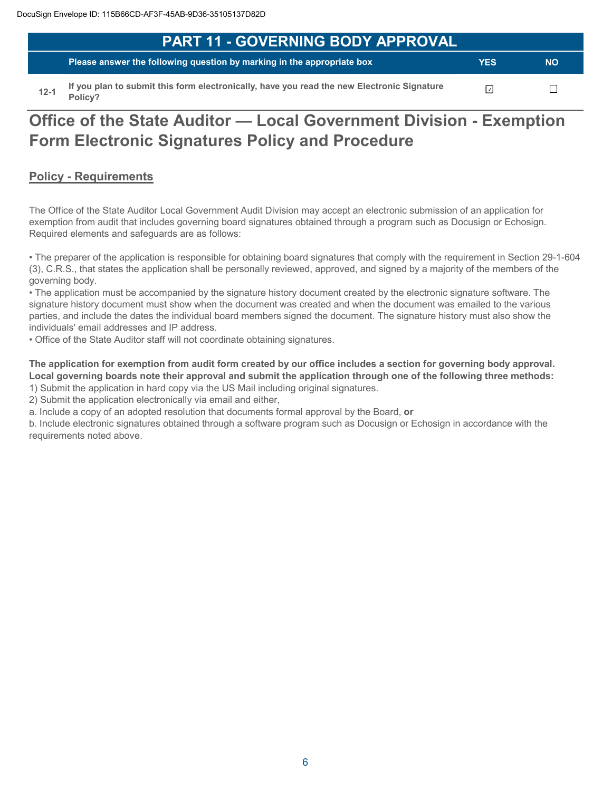| PART 11 - GOVERNING BODY APPROVAL'                                                         |            |           |
|--------------------------------------------------------------------------------------------|------------|-----------|
| The Please answer the following question by marking in the appropriate box                 | <b>YES</b> | <b>NO</b> |
| If you plan to submit this form electronically, have you read the new Electronic Signature | ⊓          |           |

**12-1 If you it is form electronically, have you read the new Electronic Signature Policy?**

# **Office of the State Auditor — Local Government Division - Exemption Form Electronic Signatures Policy and Procedure**

# **Policy - Requirements**

The Office of the State Auditor Local Government Audit Division may accept an electronic submission of an application for exemption from audit that includes governing board signatures obtained through a program such as Docusign or Echosign. Required elements and safeguards are as follows:

• The preparer of the application is responsible for obtaining board signatures that comply with the requirement in Section 29-1-604 (3), C.R.S., that states the application shall be personally reviewed, approved, and signed by a majority of the members of the governing body.

• The application must be accompanied by the signature history document created by the electronic signature software. The signature history document must show when the document was created and when the document was emailed to the various parties, and include the dates the individual board members signed the document. The signature history must also show the individuals' email addresses and IP address.

• Office of the State Auditor staff will not coordinate obtaining signatures.

**The application for exemption from audit form created by our office includes a section for governing body approval. Local governing boards note their approval and submit the application through one of the following three methods:** 

1) Submit the application in hard copy via the US Mail including original signatures.

2) Submit the application electronically via email and either,

a. Include a copy of an adopted resolution that documents formal approval by the Board, **or**

b. Include electronic signatures obtained through a software program such as Docusign or Echosign in accordance with the requirements noted above.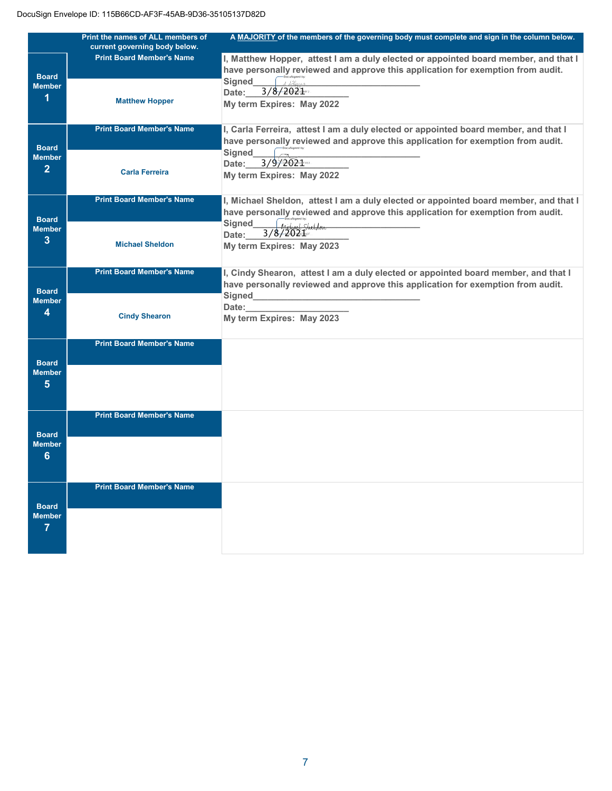|                               | Print the names of ALL members of | A MAJORITY of the members of the governing body must complete and sign in the column below. |
|-------------------------------|-----------------------------------|---------------------------------------------------------------------------------------------|
|                               | current governing body below.     |                                                                                             |
|                               | <b>Print Board Member's Name</b>  | I, Matthew Hopper, attest I am a duly elected or appointed board member, and that I         |
| <b>Board</b>                  |                                   | have personally reviewed and approve this application for exemption from audit.             |
| <b>Member</b>                 |                                   | Signed<br>112                                                                               |
| 1                             |                                   | 3/8/2021<br>Date:                                                                           |
|                               | <b>Matthew Hopper</b>             | My term Expires: May 2022                                                                   |
|                               |                                   |                                                                                             |
|                               | <b>Print Board Member's Name</b>  | I, Carla Ferreira, attest I am a duly elected or appointed board member, and that I         |
|                               |                                   | have personally reviewed and approve this application for exemption from audit.             |
| <b>Board</b>                  |                                   |                                                                                             |
| <b>Member</b>                 |                                   | <b>Signed</b><br>3/9/2021                                                                   |
| $\overline{2}$                | <b>Carla Ferreira</b>             | Date:                                                                                       |
|                               |                                   | My term Expires: May 2022                                                                   |
|                               |                                   |                                                                                             |
|                               | <b>Print Board Member's Name</b>  | I, Michael Sheldon, attest I am a duly elected or appointed board member, and that I        |
| <b>Board</b>                  |                                   | have personally reviewed and approve this application for exemption from audit.             |
| <b>Member</b>                 |                                   | Docusigned by:<br>Adicle as 1. Shelldon<br><b>Signed</b>                                    |
| 3                             |                                   | 3/8/202<br>Date:                                                                            |
|                               | <b>Michael Sheldon</b>            | My term Expires: May 2023                                                                   |
|                               |                                   |                                                                                             |
|                               | <b>Print Board Member's Name</b>  | I, Cindy Shearon, attest I am a duly elected or appointed board member, and that I          |
|                               |                                   | have personally reviewed and approve this application for exemption from audit.             |
| <b>Board</b>                  |                                   | Signed                                                                                      |
| <b>Member</b>                 |                                   | Date:                                                                                       |
| 4                             | <b>Cindy Shearon</b>              | My term Expires: May 2023                                                                   |
|                               |                                   |                                                                                             |
|                               | <b>Print Board Member's Name</b>  |                                                                                             |
|                               |                                   |                                                                                             |
| <b>Board</b>                  |                                   |                                                                                             |
| <b>Member</b>                 |                                   |                                                                                             |
| 5                             |                                   |                                                                                             |
|                               |                                   |                                                                                             |
|                               |                                   |                                                                                             |
|                               | <b>Print Board Member's Name</b>  |                                                                                             |
|                               |                                   |                                                                                             |
| <b>Board</b><br><b>Member</b> |                                   |                                                                                             |
|                               |                                   |                                                                                             |
| 6                             |                                   |                                                                                             |
|                               |                                   |                                                                                             |
|                               | <b>Print Board Member's Name</b>  |                                                                                             |
|                               |                                   |                                                                                             |
| <b>Board</b>                  |                                   |                                                                                             |
| <b>Member</b>                 |                                   |                                                                                             |
| 7                             |                                   |                                                                                             |
|                               |                                   |                                                                                             |
|                               |                                   |                                                                                             |